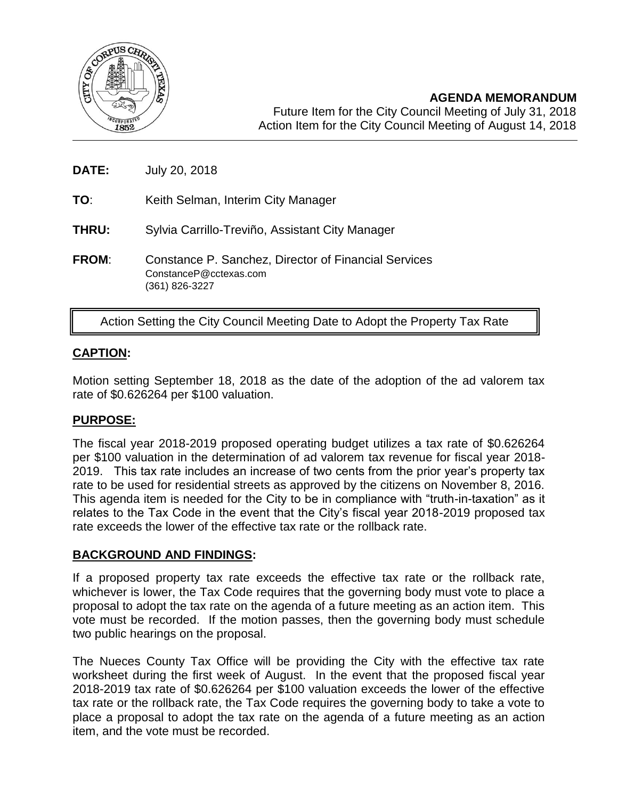

- **DATE:** July 20, 2018
- **TO**: Keith Selman, Interim City Manager
- **THRU:** Sylvia Carrillo-Treviño, Assistant City Manager
- **FROM**: Constance P. Sanchez, Director of Financial Services ConstanceP@cctexas.com (361) 826-3227

# Action Setting the City Council Meeting Date to Adopt the Property Tax Rate

# **CAPTION:**

Motion setting September 18, 2018 as the date of the adoption of the ad valorem tax rate of \$0.626264 per \$100 valuation.

## **PURPOSE:**

The fiscal year 2018-2019 proposed operating budget utilizes a tax rate of \$0.626264 per \$100 valuation in the determination of ad valorem tax revenue for fiscal year 2018- 2019. This tax rate includes an increase of two cents from the prior year's property tax rate to be used for residential streets as approved by the citizens on November 8, 2016. This agenda item is needed for the City to be in compliance with "truth-in-taxation" as it relates to the Tax Code in the event that the City's fiscal year 2018-2019 proposed tax rate exceeds the lower of the effective tax rate or the rollback rate.

#### **BACKGROUND AND FINDINGS:**

If a proposed property tax rate exceeds the effective tax rate or the rollback rate, whichever is lower, the Tax Code requires that the governing body must vote to place a proposal to adopt the tax rate on the agenda of a future meeting as an action item. This vote must be recorded. If the motion passes, then the governing body must schedule two public hearings on the proposal.

The Nueces County Tax Office will be providing the City with the effective tax rate worksheet during the first week of August. In the event that the proposed fiscal year 2018-2019 tax rate of \$0.626264 per \$100 valuation exceeds the lower of the effective tax rate or the rollback rate, the Tax Code requires the governing body to take a vote to place a proposal to adopt the tax rate on the agenda of a future meeting as an action item, and the vote must be recorded.